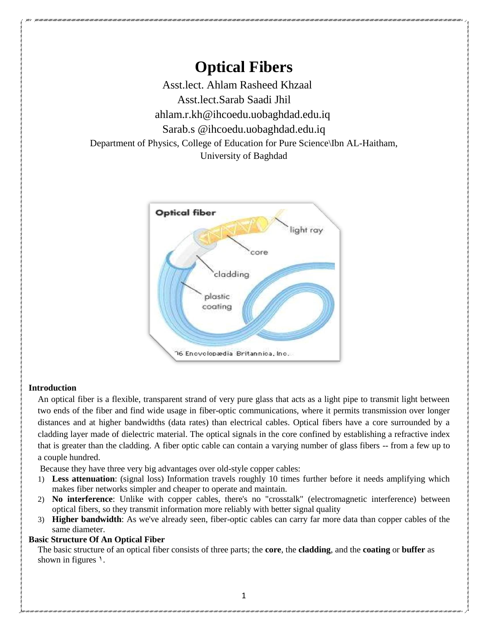**Optical Fibers** Asst.lect. Ahlam Rasheed Khzaal Asst.lect.Sarab Saadi Jhil ahlam.r.kh@ihcoedu.uobaghdad.edu.iq Sarab.s @ihcoedu.uobaghdad.edu.iq Department of Physics, College of Education for Pure Science\Ibn AL-Haitham, University of Baghdad



### **Introduction**

An optical fiber is a flexible, transparent strand of very pure glass that acts as a light pipe to transmit light between two ends of the fiber and find wide usage in fiber-optic communications, where it permits transmission over longer distances and at higher bandwidths (data rates) than electrical cables. Optical fibers have a core surrounded by a cladding layer made of dielectric material. The optical signals in the core confined by establishing a refractive index that is greater than the cladding. A fiber optic cable can contain a varying number of glass fibers -- from a few up to a couple hundred.

Because they have three very big advantages over old-style copper cables:

- 1) **Less attenuation**: (signal loss) Information travels roughly 10 times further before it needs amplifying which makes fiber networks simpler and cheaper to operate and maintain.
- 2) **No interference**: Unlike with copper cables, there's no "crosstalk" (electromagnetic interference) between optical fibers, so they transmit information more reliably with better signal quality
- 3) **Higher bandwidth**: As we've already seen, fiber-optic cables can carry far more data than copper cables of the same diameter.

## **Basic Structure Of An Optical Fiber**

The basic structure of an optical fiber consists of three parts; the **core**, the **cladding**, and the **coating** or **buffer** as shown in figures  $\lambda$ .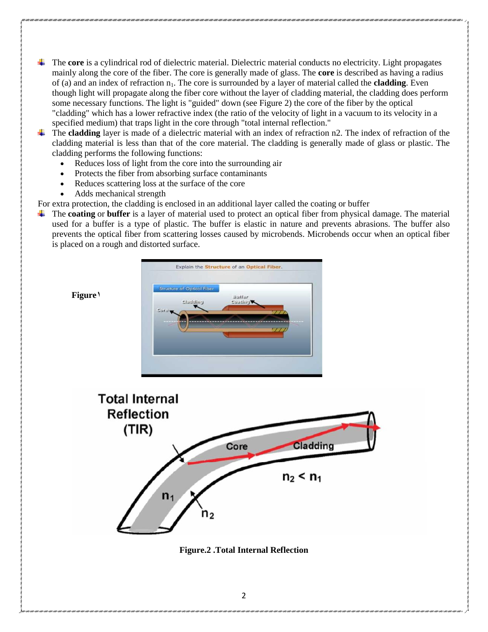- The **core** is a cylindrical rod of dielectric material. Dielectric material conducts no electricity. Light propagates mainly along the core of the fiber. The core is generally made of glass. The **core** is described as having a radius of (a) and an index of refraction  $n_1$ . The core is surrounded by a layer of material called the **cladding**. Even though light will propagate along the fiber core without the layer of cladding material, the cladding does perform some necessary functions. The light is "guided" down (see Figure 2) the core of the fiber by the optical "cladding" which has a lower refractive index (the ratio of the velocity of light in a vacuum to its velocity in a specified medium) that traps light in the core through "total internal reflection."
- The **cladding** layer is made of a dielectric material with an index of refraction n2. The index of refraction of the cladding material is less than that of the core material. The cladding is generally made of glass or plastic. The cladding performs the following functions:
	- Reduces loss of light from the core into the surrounding air
	- Protects the fiber from absorbing surface contaminants
	- Reduces scattering loss at the surface of the core
	- Adds mechanical strength

For extra protection, the cladding is enclosed in an additional layer called the coating or buffer

The **coating** or **buffer** is a layer of material used to protect an optical fiber from physical damage. The material used for a buffer is a type of plastic. The buffer is elastic in nature and prevents abrasions. The buffer also prevents the optical fiber from scattering losses caused by microbends. Microbends occur when an optical fiber is placed on a rough and distorted surface.



**Figure1**



**Figure.2 .Total Internal Reflection**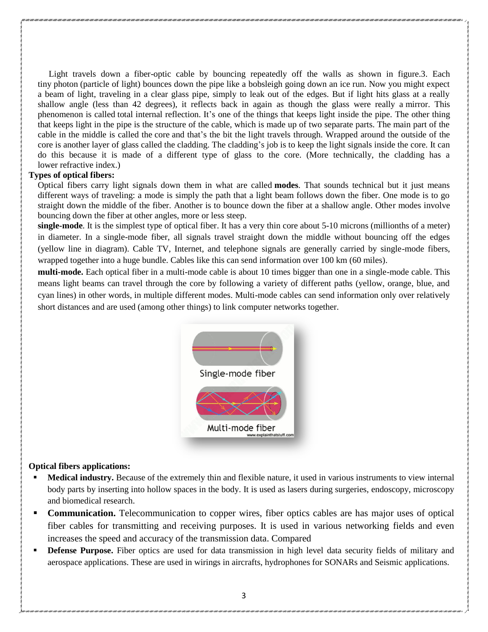Light travels down a fiber-optic cable by bouncing repeatedly off the walls as shown in figure.3. Each tiny photon (particle of light) bounces down the pipe like a bobsleigh going down an ice run. Now you might expect a beam of light, traveling in a clear glass pipe, simply to leak out of the edges. But if light hits glass at a really shallow angle (less than 42 degrees), it reflects back in again as though the glass were really a mirror. This phenomenon is called total internal reflection. It's one of the things that keeps light inside the pipe. The other thing that keeps light in the pipe is the structure of the cable, which is made up of two separate parts. The main part of the cable in the middle is called the core and that's the bit the light travels through. Wrapped around the outside of the core is another layer of glass called the cladding. The cladding's job is to keep the light signals inside the core. It can do this because it is made of a different type of glass to the core. (More technically, the cladding has a lower refractive index.)

### **Types of optical fibers:**

Optical fibers carry light signals down them in what are called **modes**. That sounds technical but it just means different ways of traveling: a mode is simply the path that a light beam follows down the fiber. One mode is to go straight down the middle of the fiber. Another is to bounce down the fiber at a shallow angle. Other modes involve bouncing down the fiber at other angles, more or less steep.

**single-mode**. It is the simplest type of optical fiber. It has a very thin core about 5-10 microns (millionths of a meter) in diameter. In a single-mode fiber, all signals travel straight down the middle without bouncing off the edges (yellow line in diagram). Cable TV, Internet, and telephone signals are generally carried by single-mode fibers, wrapped together into a huge bundle. Cables like this can send information over 100 km (60 miles).

**multi-mode.** Each optical fiber in a multi-mode cable is about 10 times bigger than one in a single-mode cable. This means light beams can travel through the core by following a variety of different paths (yellow, orange, blue, and cyan lines) in other words, in multiple different modes. Multi-mode cables can send information only over relatively short distances and are used (among other things) to link computer networks together.



#### **Optical fibers applications:**

- **Medical industry.** Because of the extremely thin and flexible nature, it used in various instruments to view internal body parts by inserting into hollow spaces in the body. It is used as lasers during surgeries, endoscopy, microscopy and biomedical research.
- **Communication.** Telecommunication to copper wires, fiber optics cables are has major uses of optical fiber cables for transmitting and receiving purposes. It is used in various networking fields and even increases the speed and accuracy of the transmission data. Compared
- **Defense Purpose.** Fiber optics are used for data transmission in high level data security fields of military and aerospace applications. These are used in wirings in aircrafts, hydrophones for SONARs and Seismic applications.